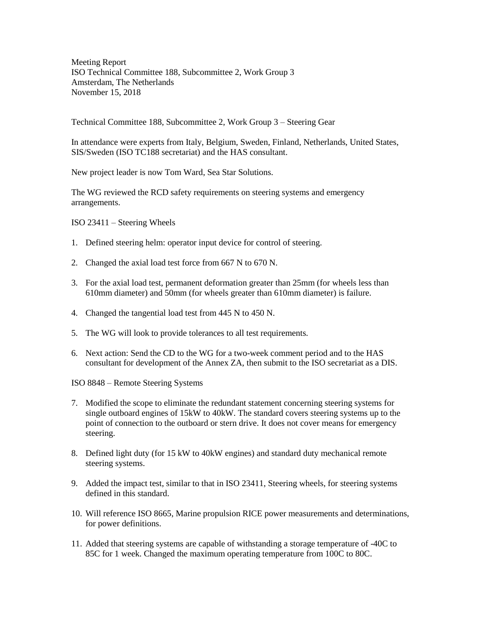Meeting Report ISO Technical Committee 188, Subcommittee 2, Work Group 3 Amsterdam, The Netherlands November 15, 2018

Technical Committee 188, Subcommittee 2, Work Group 3 – Steering Gear

In attendance were experts from Italy, Belgium, Sweden, Finland, Netherlands, United States, SIS/Sweden (ISO TC188 secretariat) and the HAS consultant.

New project leader is now Tom Ward, Sea Star Solutions.

The WG reviewed the RCD safety requirements on steering systems and emergency arrangements.

ISO 23411 – Steering Wheels

- 1. Defined steering helm: operator input device for control of steering.
- 2. Changed the axial load test force from 667 N to 670 N.
- 3. For the axial load test, permanent deformation greater than 25mm (for wheels less than 610mm diameter) and 50mm (for wheels greater than 610mm diameter) is failure.
- 4. Changed the tangential load test from 445 N to 450 N.
- 5. The WG will look to provide tolerances to all test requirements.
- 6. Next action: Send the CD to the WG for a two-week comment period and to the HAS consultant for development of the Annex ZA, then submit to the ISO secretariat as a DIS.

ISO 8848 – Remote Steering Systems

- 7. Modified the scope to eliminate the redundant statement concerning steering systems for single outboard engines of 15kW to 40kW. The standard covers steering systems up to the point of connection to the outboard or stern drive. It does not cover means for emergency steering.
- 8. Defined light duty (for 15 kW to 40kW engines) and standard duty mechanical remote steering systems.
- 9. Added the impact test, similar to that in ISO 23411, Steering wheels, for steering systems defined in this standard.
- 10. Will reference ISO 8665, Marine propulsion RICE power measurements and determinations, for power definitions.
- 11. Added that steering systems are capable of withstanding a storage temperature of -40C to 85C for 1 week. Changed the maximum operating temperature from 100C to 80C.